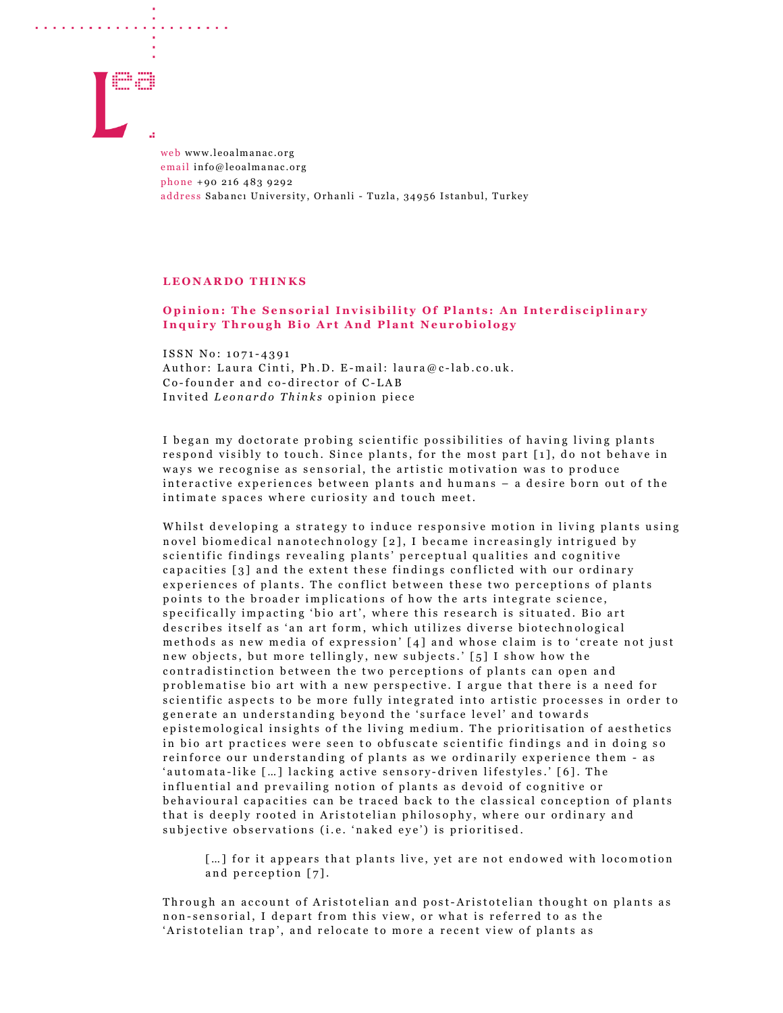

a construction of the construction of the construction of the construction of the construction of the construction of the construction of the construction of the construction of the construction of the construction of the

web www.leoalmanac.org email info@leoalmanac.org phone +90 216 483 9292 address Sabancı University, Orhanli - Tuzla, 34956 Istanbul, Turkey

## LEONARDO THINKS

## Opinion: The Sensorial Invisibility Of Plants: An Interdisciplinary Inquiry Through Bio Art And Plant Neurobiology

ISSN No: 1071-4391 Author: Laura Cinti, Ph.D. E-mail: laura@c-lab.co.uk. Co-founder and co-director of C-LAB Invited Leonardo Thinks opinion piece

I began my doctorate probing scientific possibilities of having living plants respond visibly to touch. Since plants, for the most part [1], do not behave in ways we recognise as sensorial, the artistic motivation was to produce interactive experiences between plants and humans - a desire born out of the in timate spaces where curiosity and touch meet.

Whilst developing a strategy to induce responsive motion in living plants using novel biomedical nanotechnology [2], I became increasingly intrigued by scientific findings revealing plants' perceptual qualities and cognitive capacities [3] and the extent these findings conflicted with our ordinary experiences of plants. The conflict between these two perceptions of plants points to the broader implications of how the arts integrate science, specifically impacting 'bio art', where this research is situated. Bio art describes itself as 'an art form, which utilizes diverse biotechnological methods as new media of expression' [4] and whose claim is to 'create not just new objects, but more tellingly, new subjects.' [5] I show how the contradistinction between the two perceptions of plants can open and problematise bio art with a new perspective. I argue that there is a need for scientific aspects to be more fully integrated into artistic processes in order to generate an understanding beyond the 'surface level' and towards epistemological insights of the living medium. The prioritisation of aesthetics in bio art practices were seen to obfuscate scientific findings and in doing so reinforce our understanding of plants as we ordinarily experience them - as 'automata-like [...] lacking active sensory-driven lifestyles.' [6]. The in fluential and prevailing notion of plants as devoid of cognitive or behavioural capacities can be traced back to the classical conception of plants that is deeply rooted in Aristotelian philosophy, where our ordinary and subjective observations (i.e. 'naked eye') is prioritised.

[...] for it appears that plants live, yet are not endowed with locomotion and perception [7].

Through an account of Aristotelian and post-Aristotelian thought on plants as non-sensorial, I depart from this view, or what is referred to as the 'Aristotelian trap', and relocate to more a recent view of plants as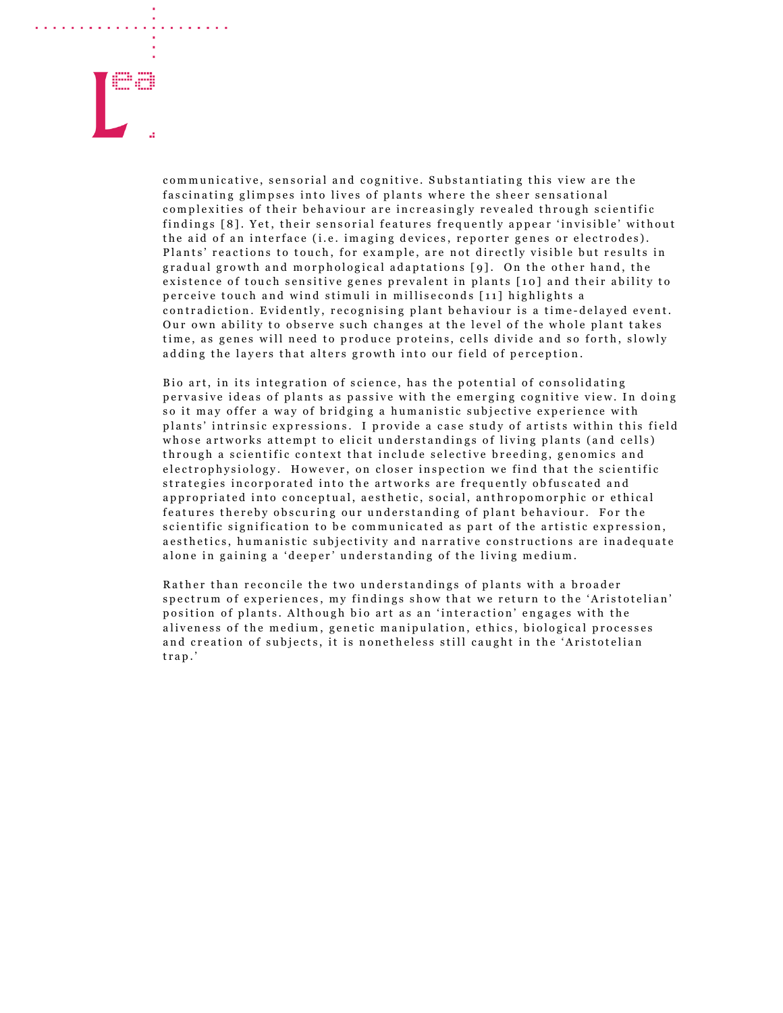

communicative, sensorial and cognitive. Substantiating this view are the fascinating glimpses into lives of plants where the sheer sensational complexities of their behaviour are increasingly revealed through scientific findings [8]. Yet, their sensorial features frequently appear 'invisible' without the aid of an interface (i.e. imaging devices, reporter genes or electrodes). Plants' reactions to touch, for example, are not directly visible but results in gradual growth and morphological adaptations [9]. On the other hand, the existence of touch sensitive genes prevalent in plants [10] and their ability to perceive touch and wind stimuli in milliseconds [11] highlights a contradiction. Evidently, recognising plant behaviour is a time-delayed event. Our own ability to observe such changes at the level of the whole plant takes time, as genes will need to produce proteins, cells divide and so forth, slowly adding the layers that alters growth into our field of perception.

Bio art, in its integration of science, has the potential of consolidating pervasive ideas of plants as passive with the emerging cognitive view. In doing so it may offer a way of bridging a humanistic subjective experience with plants' intrinsic expressions. I provide a case study of artists within this field whose artworks attempt to elicit understandings of living plants (and cells) through a scientific context that include selective breeding, genomics and e lectrophysiology. However, on closer inspection we find that the scientific strategies incorporated into the artworks are frequently obfuscated and appropriated into conceptual, aesthetic, social, anthropomorphic or ethical features thereby obscuring our understanding of plant behaviour. For the scientific signification to be communicated as part of the artistic expression, a esthetics, humanistic subjectivity and narrative constructions are inadequate alone in gaining a 'deeper' understanding of the living medium.

Rather than reconcile the two understandings of plants with a broader spectrum of experiences, my findings show that we return to the 'Aristotelian' position of plants. Although bio art as an 'interaction' engages with the aliveness of the medium, genetic manipulation, ethics, biological processes and creation of subjects, it is nonetheless still caught in the 'Aristotelian trap.'